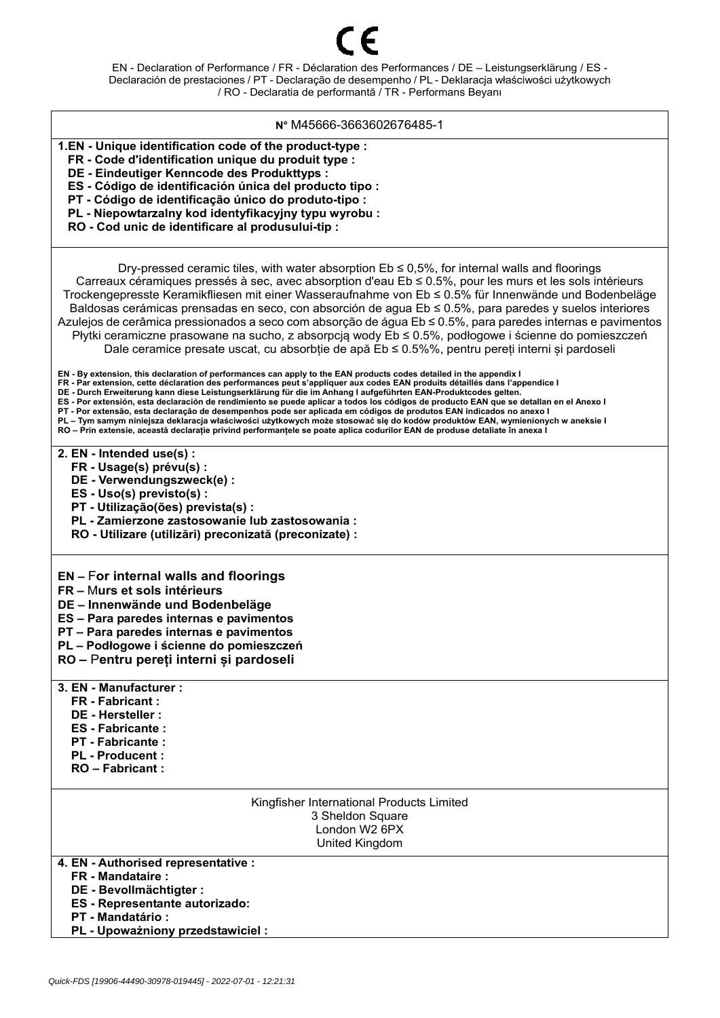# CE

EN - Declaration of Performance / FR - Déclaration des Performances / DE – Leistungserklärung / ES - Declaración de prestaciones / PT - Declaração de desempenho / PL - Deklaracja właściwości użytkowych / RO - Declaratia de performantă / TR - Performans Beyanı

| N° M45666-3663602676485-1                                                                                                                                                                                                                                                                                                                                                                                                                                                                                                                                                                                                                                                                                                                                                                                                                                                                                                                                                                                                                                                                                                                                                                                                                                                                                                                                                                                                                                                                                                                                                                                                                                            |
|----------------------------------------------------------------------------------------------------------------------------------------------------------------------------------------------------------------------------------------------------------------------------------------------------------------------------------------------------------------------------------------------------------------------------------------------------------------------------------------------------------------------------------------------------------------------------------------------------------------------------------------------------------------------------------------------------------------------------------------------------------------------------------------------------------------------------------------------------------------------------------------------------------------------------------------------------------------------------------------------------------------------------------------------------------------------------------------------------------------------------------------------------------------------------------------------------------------------------------------------------------------------------------------------------------------------------------------------------------------------------------------------------------------------------------------------------------------------------------------------------------------------------------------------------------------------------------------------------------------------------------------------------------------------|
| 1.EN - Unique identification code of the product-type :<br>FR - Code d'identification unique du produit type :<br>DE - Eindeutiger Kenncode des Produkttyps :<br>ES - Código de identificación única del producto tipo :<br>PT - Código de identificação único do produto-tipo :<br>PL - Niepowtarzalny kod identyfikacyjny typu wyrobu :<br>RO - Cod unic de identificare al produsului-tip :                                                                                                                                                                                                                                                                                                                                                                                                                                                                                                                                                                                                                                                                                                                                                                                                                                                                                                                                                                                                                                                                                                                                                                                                                                                                       |
| Dry-pressed ceramic tiles, with water absorption $Eb \leq 0.5\%$ , for internal walls and floorings<br>Carreaux céramiques pressés à sec, avec absorption d'eau Eb ≤ 0.5%, pour les murs et les sols intérieurs<br>Trockengepresste Keramikfliesen mit einer Wasseraufnahme von Eb ≤ 0.5% für Innenwände und Bodenbeläge<br>Baldosas cerámicas prensadas en seco, con absorción de agua Eb ≤ 0.5%, para paredes y suelos interiores<br>Azulejos de cerâmica pressionados a seco com absorção de água Eb ≤ 0.5%, para paredes internas e pavimentos<br>Płytki ceramiczne prasowane na sucho, z absorpcją wody Eb ≤ 0.5%, podłogowe i ścienne do pomieszczeń<br>Dale ceramice presate uscat, cu absorbție de apă Eb ≤ 0.5%%, pentru pereți interni și pardoseli<br>EN - By extension, this declaration of performances can apply to the EAN products codes detailed in the appendix I<br>FR - Par extension, cette déclaration des performances peut s'appliquer aux codes EAN produits détaillés dans l'appendice l<br>DE - Durch Erweiterung kann diese Leistungserklärung für die im Anhang I aufgeführten EAN-Produktcodes gelten.<br>ES - Por extensión, esta declaración de rendimiento se puede aplicar a todos los códigos de producto EAN que se detallan en el Anexo I<br>PT - Por extensão, esta declaração de desempenhos pode ser aplicada em códigos de produtos EAN indicados no anexo l<br>PL – Tym samym niniejsza deklaracja właściwości użytkowych może stosować się do kodów produktów EAN, wymienionych w aneksie l<br>RO – Prin extensie, această declarație privind performanțele se poate aplica codurilor EAN de produse detaliate în anexa l |
| 2. EN - Intended use(s) :<br>FR - Usage(s) prévu(s) :<br>DE - Verwendungszweck(e) :<br>ES - Uso(s) previsto(s) :<br>PT - Utilização(ões) prevista(s) :<br>PL - Zamierzone zastosowanie lub zastosowania :<br>RO - Utilizare (utilizări) preconizată (preconizate) :                                                                                                                                                                                                                                                                                                                                                                                                                                                                                                                                                                                                                                                                                                                                                                                                                                                                                                                                                                                                                                                                                                                                                                                                                                                                                                                                                                                                  |
| <b>EN-For internal walls and floorings</b><br>FR – Murs et sols intérieurs<br>DE - Innenwände und Bodenbeläge<br>ES - Para paredes internas e pavimentos<br>PT - Para paredes internas e pavimentos<br>PL - Podłogowe i ścienne do pomieszczeń<br>RO-Pentru pereți interni și pardoseli                                                                                                                                                                                                                                                                                                                                                                                                                                                                                                                                                                                                                                                                                                                                                                                                                                                                                                                                                                                                                                                                                                                                                                                                                                                                                                                                                                              |
| 3. EN - Manufacturer :<br><b>FR</b> - Fabricant :<br>DE - Hersteller :<br><b>ES</b> - Fabricante :<br><b>PT</b> - Fabricante:<br><b>PL - Producent:</b><br>RO - Fabricant:                                                                                                                                                                                                                                                                                                                                                                                                                                                                                                                                                                                                                                                                                                                                                                                                                                                                                                                                                                                                                                                                                                                                                                                                                                                                                                                                                                                                                                                                                           |
| Kingfisher International Products Limited<br>3 Sheldon Square<br>London W2 6PX<br>United Kingdom                                                                                                                                                                                                                                                                                                                                                                                                                                                                                                                                                                                                                                                                                                                                                                                                                                                                                                                                                                                                                                                                                                                                                                                                                                                                                                                                                                                                                                                                                                                                                                     |
| 4. EN - Authorised representative :<br><b>FR</b> - Mandataire :<br>DE - Bevollmächtigter :<br>ES - Representante autorizado:<br><b>PT - Mandatário:</b><br>PL - Upoważniony przedstawiciel:                                                                                                                                                                                                                                                                                                                                                                                                                                                                                                                                                                                                                                                                                                                                                                                                                                                                                                                                                                                                                                                                                                                                                                                                                                                                                                                                                                                                                                                                          |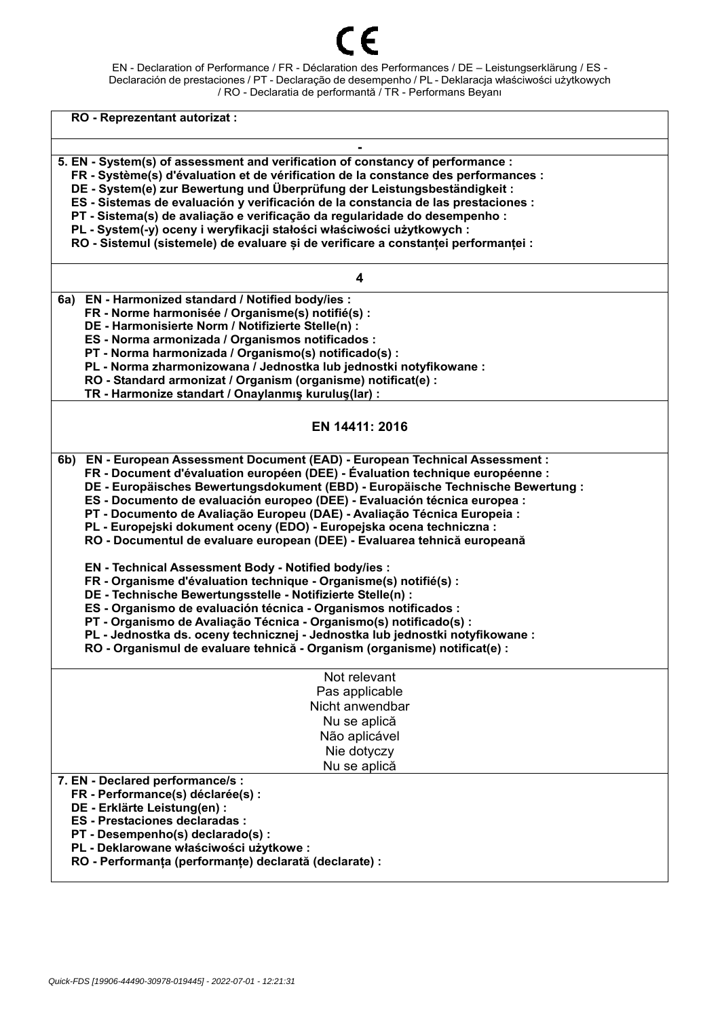CE

| RO - Reprezentant autorizat :                                                                                                                                                                                                                                                                                                                                                                                                                                                                                                                                                                                                                                                               |
|---------------------------------------------------------------------------------------------------------------------------------------------------------------------------------------------------------------------------------------------------------------------------------------------------------------------------------------------------------------------------------------------------------------------------------------------------------------------------------------------------------------------------------------------------------------------------------------------------------------------------------------------------------------------------------------------|
|                                                                                                                                                                                                                                                                                                                                                                                                                                                                                                                                                                                                                                                                                             |
| 5. EN - System(s) of assessment and verification of constancy of performance :<br>FR - Système(s) d'évaluation et de vérification de la constance des performances :                                                                                                                                                                                                                                                                                                                                                                                                                                                                                                                        |
| DE - System(e) zur Bewertung und Überprüfung der Leistungsbeständigkeit :                                                                                                                                                                                                                                                                                                                                                                                                                                                                                                                                                                                                                   |
| ES - Sistemas de evaluación y verificación de la constancia de las prestaciones :                                                                                                                                                                                                                                                                                                                                                                                                                                                                                                                                                                                                           |
| PT - Sistema(s) de avaliação e verificação da regularidade do desempenho :<br>PL - System(-y) oceny i weryfikacji stałości właściwości użytkowych :                                                                                                                                                                                                                                                                                                                                                                                                                                                                                                                                         |
| RO - Sistemul (sistemele) de evaluare și de verificare a constanței performanței :                                                                                                                                                                                                                                                                                                                                                                                                                                                                                                                                                                                                          |
|                                                                                                                                                                                                                                                                                                                                                                                                                                                                                                                                                                                                                                                                                             |
| 4                                                                                                                                                                                                                                                                                                                                                                                                                                                                                                                                                                                                                                                                                           |
| 6a) EN - Harmonized standard / Notified body/ies :                                                                                                                                                                                                                                                                                                                                                                                                                                                                                                                                                                                                                                          |
| FR - Norme harmonisée / Organisme(s) notifié(s) :                                                                                                                                                                                                                                                                                                                                                                                                                                                                                                                                                                                                                                           |
| DE - Harmonisierte Norm / Notifizierte Stelle(n) :<br>ES - Norma armonizada / Organismos notificados :                                                                                                                                                                                                                                                                                                                                                                                                                                                                                                                                                                                      |
| PT - Norma harmonizada / Organismo(s) notificado(s) :                                                                                                                                                                                                                                                                                                                                                                                                                                                                                                                                                                                                                                       |
| PL - Norma zharmonizowana / Jednostka lub jednostki notyfikowane :                                                                                                                                                                                                                                                                                                                                                                                                                                                                                                                                                                                                                          |
| RO - Standard armonizat / Organism (organisme) notificat(e) :                                                                                                                                                                                                                                                                                                                                                                                                                                                                                                                                                                                                                               |
| TR - Harmonize standart / Onaylanmış kuruluş(lar) :                                                                                                                                                                                                                                                                                                                                                                                                                                                                                                                                                                                                                                         |
| EN 14411: 2016                                                                                                                                                                                                                                                                                                                                                                                                                                                                                                                                                                                                                                                                              |
| 6b) EN - European Assessment Document (EAD) - European Technical Assessment :<br>FR - Document d'évaluation européen (DEE) - Évaluation technique européenne :<br>DE - Europäisches Bewertungsdokument (EBD) - Europäische Technische Bewertung :<br>ES - Documento de evaluación europeo (DEE) - Evaluación técnica europea :<br>PT - Documento de Avaliação Europeu (DAE) - Avaliação Técnica Europeia :<br>PL - Europejski dokument oceny (EDO) - Europejska ocena techniczna :<br>RO - Documentul de evaluare european (DEE) - Evaluarea tehnică europeană<br>EN - Technical Assessment Body - Notified body/ies :<br>FR - Organisme d'évaluation technique - Organisme(s) notifié(s) : |
| DE - Technische Bewertungsstelle - Notifizierte Stelle(n) :                                                                                                                                                                                                                                                                                                                                                                                                                                                                                                                                                                                                                                 |
| ES - Organismo de evaluación técnica - Organismos notificados :                                                                                                                                                                                                                                                                                                                                                                                                                                                                                                                                                                                                                             |
| PT - Organismo de Avaliação Técnica - Organismo(s) notificado(s) :                                                                                                                                                                                                                                                                                                                                                                                                                                                                                                                                                                                                                          |
| PL - Jednostka ds. oceny technicznej - Jednostka lub jednostki notyfikowane :                                                                                                                                                                                                                                                                                                                                                                                                                                                                                                                                                                                                               |
| RO - Organismul de evaluare tehnică - Organism (organisme) notificat(e) :                                                                                                                                                                                                                                                                                                                                                                                                                                                                                                                                                                                                                   |
| Not relevant                                                                                                                                                                                                                                                                                                                                                                                                                                                                                                                                                                                                                                                                                |
| Pas applicable                                                                                                                                                                                                                                                                                                                                                                                                                                                                                                                                                                                                                                                                              |
| Nicht anwendbar                                                                                                                                                                                                                                                                                                                                                                                                                                                                                                                                                                                                                                                                             |
| Nu se aplică                                                                                                                                                                                                                                                                                                                                                                                                                                                                                                                                                                                                                                                                                |
| Não aplicável                                                                                                                                                                                                                                                                                                                                                                                                                                                                                                                                                                                                                                                                               |
| Nie dotyczy                                                                                                                                                                                                                                                                                                                                                                                                                                                                                                                                                                                                                                                                                 |
| Nu se aplică                                                                                                                                                                                                                                                                                                                                                                                                                                                                                                                                                                                                                                                                                |
| 7. EN - Declared performance/s :                                                                                                                                                                                                                                                                                                                                                                                                                                                                                                                                                                                                                                                            |
| FR - Performance(s) déclarée(s) :                                                                                                                                                                                                                                                                                                                                                                                                                                                                                                                                                                                                                                                           |
| DE - Erklärte Leistung(en) :<br><b>ES - Prestaciones declaradas:</b>                                                                                                                                                                                                                                                                                                                                                                                                                                                                                                                                                                                                                        |
| PT - Desempenho(s) declarado(s) :                                                                                                                                                                                                                                                                                                                                                                                                                                                                                                                                                                                                                                                           |
| PL - Deklarowane właściwości użytkowe:                                                                                                                                                                                                                                                                                                                                                                                                                                                                                                                                                                                                                                                      |
| RO - Performanța (performanțe) declarată (declarate) :                                                                                                                                                                                                                                                                                                                                                                                                                                                                                                                                                                                                                                      |
|                                                                                                                                                                                                                                                                                                                                                                                                                                                                                                                                                                                                                                                                                             |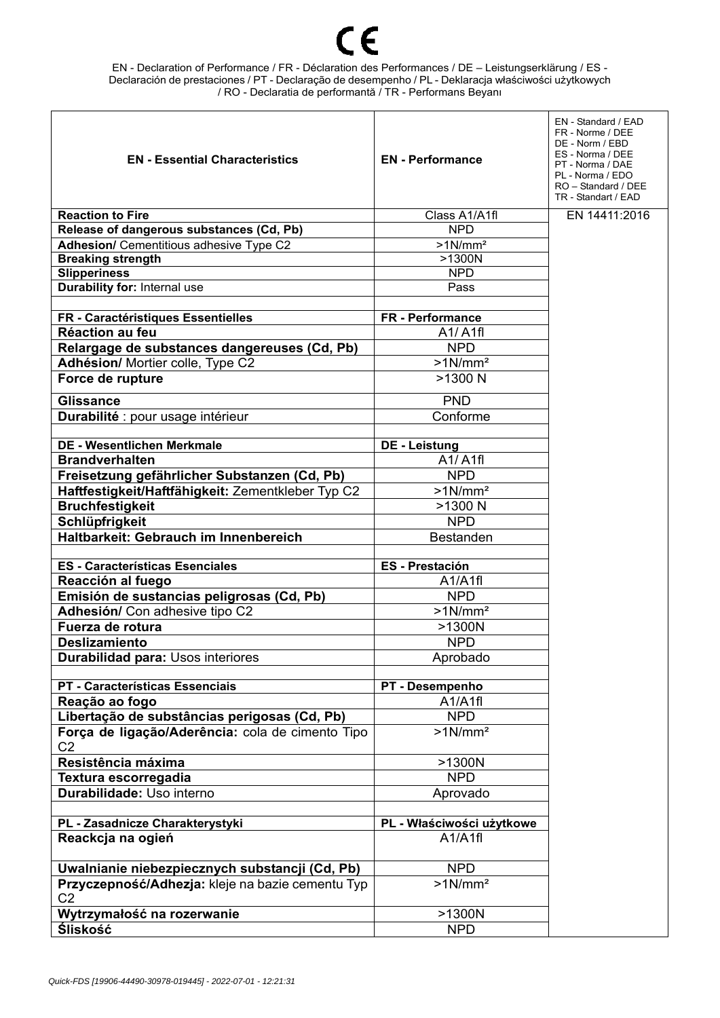| <b>EN</b> - Essential Characteristics                              | <b>EN</b> - Performance   | EN - Standard / EAD<br>FR - Norme / DEE<br>DE - Norm / EBD<br>ES - Norma / DEE<br>PT - Norma / DAE<br>PL - Norma / EDO<br>RO - Standard / DEE<br>TR - Standart / EAD |
|--------------------------------------------------------------------|---------------------------|----------------------------------------------------------------------------------------------------------------------------------------------------------------------|
| <b>Reaction to Fire</b>                                            | Class A1/A1fl             | EN 14411:2016                                                                                                                                                        |
| Release of dangerous substances (Cd, Pb)                           | <b>NPD</b>                |                                                                                                                                                                      |
| <b>Adhesion/</b> Cementitious adhesive Type C2                     | $>1$ N/mm <sup>2</sup>    |                                                                                                                                                                      |
| <b>Breaking strength</b>                                           | >1300N                    |                                                                                                                                                                      |
| <b>Slipperiness</b>                                                | NPD                       |                                                                                                                                                                      |
| <b>Durability for: Internal use</b>                                | Pass                      |                                                                                                                                                                      |
|                                                                    |                           |                                                                                                                                                                      |
| FR - Caractéristiques Essentielles                                 | <b>FR</b> - Performance   |                                                                                                                                                                      |
| <b>Réaction au feu</b>                                             | A1/A1fI                   |                                                                                                                                                                      |
|                                                                    |                           |                                                                                                                                                                      |
| Relargage de substances dangereuses (Cd, Pb)                       | <b>NPD</b>                |                                                                                                                                                                      |
| Adhésion/ Mortier colle, Type C2                                   | $>1$ N/mm <sup>2</sup>    |                                                                                                                                                                      |
| Force de rupture                                                   | >1300 N                   |                                                                                                                                                                      |
| <b>Glissance</b>                                                   | <b>PND</b>                |                                                                                                                                                                      |
| Durabilité : pour usage intérieur                                  | Conforme                  |                                                                                                                                                                      |
|                                                                    |                           |                                                                                                                                                                      |
| <b>DE - Wesentlichen Merkmale</b>                                  | <b>DE</b> - Leistung      |                                                                                                                                                                      |
| <b>Brandverhalten</b>                                              | A1/A1f1                   |                                                                                                                                                                      |
| Freisetzung gefährlicher Substanzen (Cd, Pb)                       | <b>NPD</b>                |                                                                                                                                                                      |
| Haftfestigkeit/Haftfähigkeit: Zementkleber Typ C2                  | $>1$ N/mm <sup>2</sup>    |                                                                                                                                                                      |
| <b>Bruchfestigkeit</b>                                             | >1300 N                   |                                                                                                                                                                      |
| Schlüpfrigkeit                                                     | <b>NPD</b>                |                                                                                                                                                                      |
| Haltbarkeit: Gebrauch im Innenbereich                              | <b>Bestanden</b>          |                                                                                                                                                                      |
|                                                                    |                           |                                                                                                                                                                      |
| <b>ES - Características Esenciales</b>                             | <b>ES</b> - Prestación    |                                                                                                                                                                      |
| Reacción al fuego                                                  | A1/A1fI                   |                                                                                                                                                                      |
| Emisión de sustancias peligrosas (Cd, Pb)                          | <b>NPD</b>                |                                                                                                                                                                      |
| Adhesión/ Con adhesive tipo C2                                     | $>1$ N/mm <sup>2</sup>    |                                                                                                                                                                      |
| Fuerza de rotura                                                   | >1300N                    |                                                                                                                                                                      |
| <b>Deslizamiento</b>                                               | <b>NPD</b>                |                                                                                                                                                                      |
| Durabilidad para: Usos interiores                                  | Aprobado                  |                                                                                                                                                                      |
|                                                                    |                           |                                                                                                                                                                      |
| PT - Características Essenciais                                    | PT - Desempenho           |                                                                                                                                                                      |
| Reação ao fogo                                                     | A1/A1f1                   |                                                                                                                                                                      |
| Libertação de substâncias perigosas (Cd, Pb)                       | <b>NPD</b>                |                                                                                                                                                                      |
| Força de ligação/Aderência: cola de cimento Tipo<br>C <sub>2</sub> | $>1$ N/mm <sup>2</sup>    |                                                                                                                                                                      |
| Resistência máxima                                                 | >1300N                    |                                                                                                                                                                      |
| Textura escorregadia                                               | <b>NPD</b>                |                                                                                                                                                                      |
| Durabilidade: Uso interno                                          | Aprovado                  |                                                                                                                                                                      |
|                                                                    |                           |                                                                                                                                                                      |
| PL - Zasadnicze Charakterystyki                                    | PL - Właściwości użytkowe |                                                                                                                                                                      |
| Reackcja na ogień                                                  | A1/A1fI                   |                                                                                                                                                                      |
| Uwalnianie niebezpiecznych substancji (Cd, Pb)                     | <b>NPD</b>                |                                                                                                                                                                      |
| Przyczepność/Adhezja: kleje na bazie cementu Typ<br>C <sub>2</sub> | $>1$ N/mm <sup>2</sup>    |                                                                                                                                                                      |
| Wytrzymałość na rozerwanie                                         | >1300N                    |                                                                                                                                                                      |
| <b>Śliskość</b>                                                    | <b>NPD</b>                |                                                                                                                                                                      |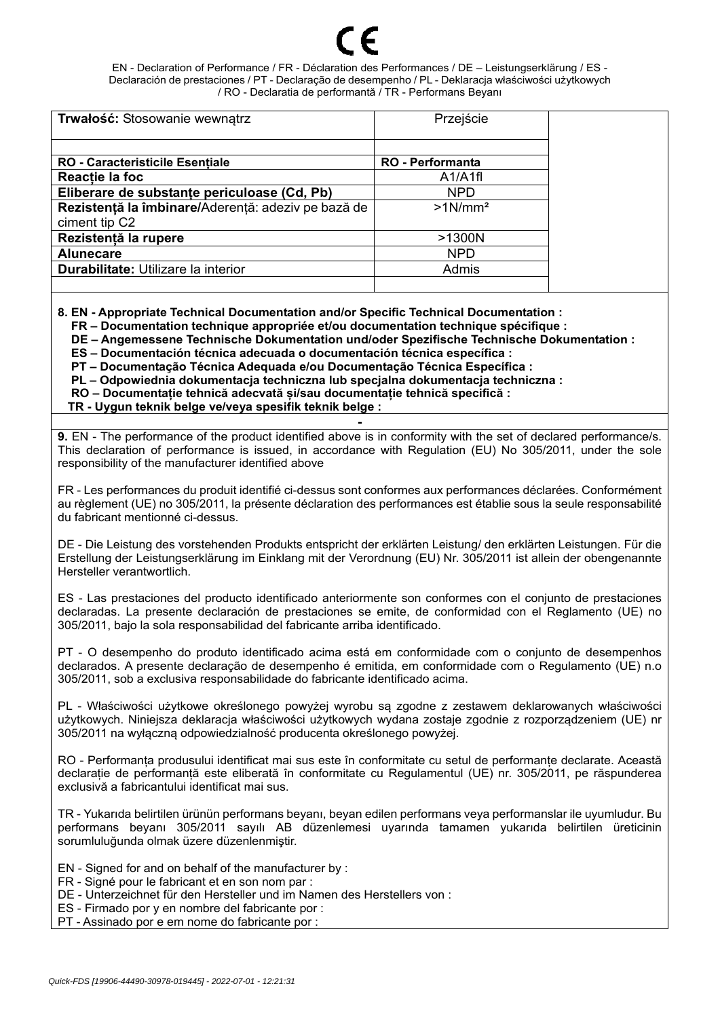| Trwałość: Stosowanie wewnątrz                      | Przejście               |
|----------------------------------------------------|-------------------------|
|                                                    |                         |
| <b>RO - Caracteristicile Esentiale</b>             | <b>RO</b> - Performanta |
| Reactie la foc                                     | A1/A1fI                 |
| Eliberare de substanțe periculoase (Cd, Pb)        | <b>NPD</b>              |
| Rezistență la îmbinare/Aderență: adeziv pe bază de | $>1$ N/mm <sup>2</sup>  |
| ciment tip C2                                      |                         |
| Rezistentă la rupere                               | >1300N                  |
| <b>Alunecare</b>                                   | <b>NPD</b>              |
| Durabilitate: Utilizare la interior                | Admis                   |
|                                                    |                         |

**8. EN - Appropriate Technical Documentation and/or Specific Technical Documentation :** 

 **FR – Documentation technique appropriée et/ou documentation technique spécifique :** 

 **DE – Angemessene Technische Dokumentation und/oder Spezifische Technische Dokumentation :** 

 **ES – Documentación técnica adecuada o documentación técnica específica :** 

 **PT – Documentação Técnica Adequada e/ou Documentação Técnica Específica :** 

 **PL – Odpowiednia dokumentacja techniczna lub specjalna dokumentacja techniczna :** 

 **RO – Documentație tehnică adecvată și/sau documentație tehnică specifică :** 

 **TR - Uygun teknik belge ve/veya spesifik teknik belge :**

**9.** EN - The performance of the product identified above is in conformity with the set of declared performance/s. This declaration of performance is issued, in accordance with Regulation (EU) No 305/2011, under the sole responsibility of the manufacturer identified above

**-** 

FR - Les performances du produit identifié ci-dessus sont conformes aux performances déclarées. Conformément au règlement (UE) no 305/2011, la présente déclaration des performances est établie sous la seule responsabilité du fabricant mentionné ci-dessus.

DE - Die Leistung des vorstehenden Produkts entspricht der erklärten Leistung/ den erklärten Leistungen. Für die Erstellung der Leistungserklärung im Einklang mit der Verordnung (EU) Nr. 305/2011 ist allein der obengenannte Hersteller verantwortlich.

ES - Las prestaciones del producto identificado anteriormente son conformes con el conjunto de prestaciones declaradas. La presente declaración de prestaciones se emite, de conformidad con el Reglamento (UE) no 305/2011, bajo la sola responsabilidad del fabricante arriba identificado.

PT - O desempenho do produto identificado acima está em conformidade com o conjunto de desempenhos declarados. A presente declaração de desempenho é emitida, em conformidade com o Regulamento (UE) n.o 305/2011, sob a exclusiva responsabilidade do fabricante identificado acima.

PL - Właściwości użytkowe określonego powyżej wyrobu są zgodne z zestawem deklarowanych właściwości użytkowych. Niniejsza deklaracja właściwości użytkowych wydana zostaje zgodnie z rozporządzeniem (UE) nr 305/2011 na wyłączną odpowiedzialność producenta określonego powyżej.

RO - Performanța produsului identificat mai sus este în conformitate cu setul de performanțe declarate. Această declarație de performanță este eliberată în conformitate cu Regulamentul (UE) nr. 305/2011, pe răspunderea exclusivă a fabricantului identificat mai sus.

TR - Yukarıda belirtilen ürünün performans beyanı, beyan edilen performans veya performanslar ile uyumludur. Bu performans beyanı 305/2011 sayılı AB düzenlemesi uyarında tamamen yukarıda belirtilen üreticinin sorumluluğunda olmak üzere düzenlenmiştir.

EN - Signed for and on behalf of the manufacturer by :

- FR Signé pour le fabricant et en son nom par :
- DE Unterzeichnet für den Hersteller und im Namen des Herstellers von :
- ES Firmado por y en nombre del fabricante por :

PT - Assinado por e em nome do fabricante por :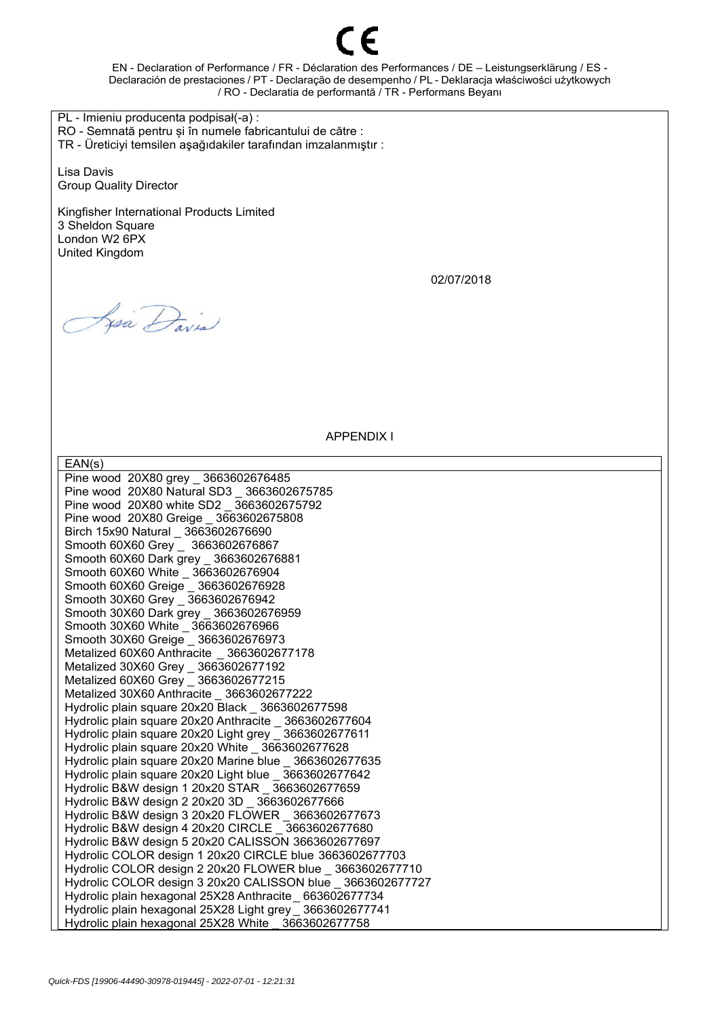PL - Imieniu producenta podpisał(-a) : RO - Semnată pentru și în numele fabricantului de către : TR - Üreticiyi temsilen aşağıdakiler tarafından imzalanmıştır :

Lisa Davis Group Quality Director

Kingfisher International Products Limited 3 Sheldon Square London W2 6PX United Kingdom

02/07/2018

Lysa Davis

APPENDIX I

EAN(s) Pine wood 20X80 grey \_ 3663602676485 Pine wood 20X80 Natural SD3 \_ 3663602675785 Pine wood 20X80 white SD2 \_ 3663602675792 Pine wood 20X80 Greige \_ 3663602675808 Birch 15x90 Natural \_ 3663602676690 Smooth 60X60 Grey \_ 3663602676867 Smooth 60X60 Dark grey \_ 3663602676881 Smooth 60X60 White \_ 3663602676904 Smooth 60X60 Greige \_ 3663602676928 Smooth 30X60 Grey \_ 3663602676942 Smooth 30X60 Dark grey \_ 3663602676959 Smooth 30X60 White \_ 3663602676966 Smooth 30X60 Greige \_ 3663602676973 Metalized 60X60 Anthracite \_ 3663602677178 Metalized 30X60 Grey \_ 3663602677192 Metalized 60X60 Grey \_ 3663602677215 Metalized 30X60 Anthracite \_ 3663602677222 Hydrolic plain square 20x20 Black \_ 3663602677598 Hydrolic plain square 20x20 Anthracite \_ 3663602677604 Hydrolic plain square 20x20 Light grey \_ 3663602677611 Hydrolic plain square 20x20 White \_ 3663602677628 Hydrolic plain square 20x20 Marine blue \_ 3663602677635 Hydrolic plain square 20x20 Light blue \_ 3663602677642 Hydrolic B&W design 1 20x20 STAR \_ 3663602677659 Hydrolic B&W design 2 20x20 3D \_ 3663602677666 Hydrolic B&W design 3 20x20 FLOWER \_ 3663602677673 Hydrolic B&W design 4 20x20 CIRCLE \_ 3663602677680 Hydrolic B&W design 5 20x20 CALISSON 3663602677697 Hydrolic COLOR design 1 20x20 CIRCLE blue 3663602677703 Hydrolic COLOR design 2 20x20 FLOWER blue \_ 3663602677710 Hydrolic COLOR design 3 20x20 CALISSON blue \_ 3663602677727 Hydrolic plain hexagonal 25X28 Anthracite \_ 663602677734 Hydrolic plain hexagonal 25X28 Light grey \_ 3663602677741 Hydrolic plain hexagonal 25X28 White \_ 3663602677758